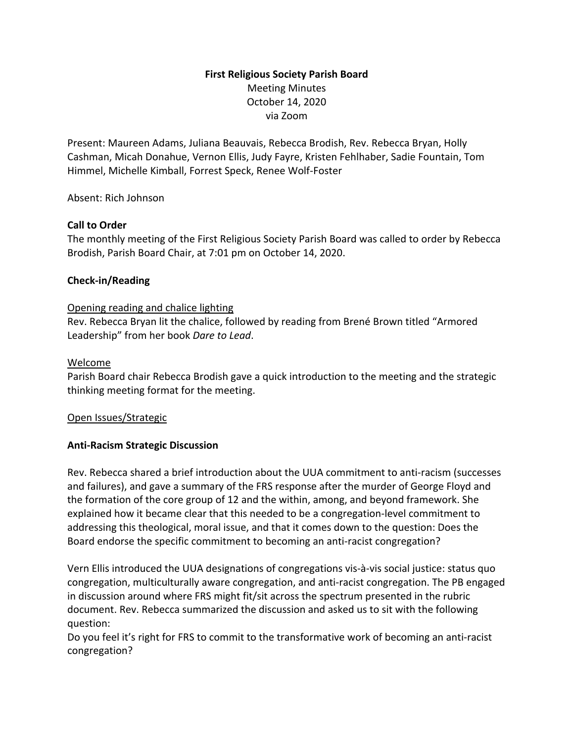# **First Religious Society Parish Board** Meeting Minutes October 14, 2020 via Zoom

Present: Maureen Adams, Juliana Beauvais, Rebecca Brodish, Rev. Rebecca Bryan, Holly Cashman, Micah Donahue, Vernon Ellis, Judy Fayre, Kristen Fehlhaber, Sadie Fountain, Tom Himmel, Michelle Kimball, Forrest Speck, Renee Wolf-Foster

Absent: Rich Johnson

# **Call to Order**

The monthly meeting of the First Religious Society Parish Board was called to order by Rebecca Brodish, Parish Board Chair, at 7:01 pm on October 14, 2020.

# **Check-in/Reading**

## Opening reading and chalice lighting

Rev. Rebecca Bryan lit the chalice, followed by reading from Brené Brown titled "Armored Leadership" from her book *Dare to Lead*.

# Welcome

Parish Board chair Rebecca Brodish gave a quick introduction to the meeting and the strategic thinking meeting format for the meeting.

## Open Issues/Strategic

# **Anti-Racism Strategic Discussion**

Rev. Rebecca shared a brief introduction about the UUA commitment to anti-racism (successes and failures), and gave a summary of the FRS response after the murder of George Floyd and the formation of the core group of 12 and the within, among, and beyond framework. She explained how it became clear that this needed to be a congregation-level commitment to addressing this theological, moral issue, and that it comes down to the question: Does the Board endorse the specific commitment to becoming an anti-racist congregation?

Vern Ellis introduced the UUA designations of congregations vis-à-vis social justice: status quo congregation, multiculturally aware congregation, and anti-racist congregation. The PB engaged in discussion around where FRS might fit/sit across the spectrum presented in the rubric document. Rev. Rebecca summarized the discussion and asked us to sit with the following question:

Do you feel it's right for FRS to commit to the transformative work of becoming an anti-racist congregation?